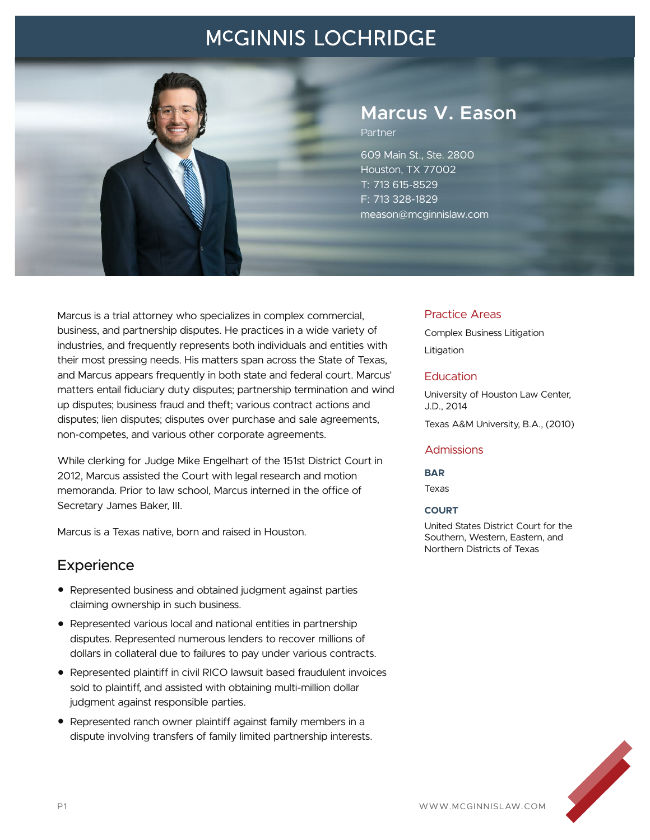## **MCGINNIS LOCHRIDGE**



# **Marcus V. Eason**

Partner

609 Main St., Ste. 2800 Houston, TX 77002 T: 713 615-8529 F: 713 328-1829 meason@mcginnislaw.com

Marcus is a trial attorney who specializes in complex commercial, business, and partnership disputes. He practices in a wide variety of industries, and frequently represents both individuals and entities with their most pressing needs. His matters span across the State of Texas, and Marcus appears frequently in both state and federal court. Marcus' matters entail fiduciary duty disputes; partnership termination and wind up disputes; business fraud and theft; various contract actions and disputes; lien disputes; disputes over purchase and sale agreements, non-competes, and various other corporate agreements.

While clerking for Judge Mike Engelhart of the 151st District Court in 2012, Marcus assisted the Court with legal research and motion memoranda. Prior to law school, Marcus interned in the office of Secretary James Baker, III.

Marcus is a Texas native, born and raised in Houston.

## **Experience**

- Represented business and obtained judgment against parties claiming ownership in such business.
- Represented various local and national entities in partnership disputes. Represented numerous lenders to recover millions of dollars in collateral due to failures to pay under various contracts.
- Represented plaintiff in civil RICO lawsuit based fraudulent invoices sold to plaintiff, and assisted with obtaining multi-million dollar judgment against responsible parties.
- Represented ranch owner plaintiff against family members in a dispute involving transfers of family limited partnership interests.

### Practice Areas

Complex Business Litigation

Litigation

### **Education**

University of Houston Law Center, J.D., 2014

Texas A&M University, B.A., (2010)

### **Admissions**

#### **BAR**

Texas

#### **COURT**

United States District Court for the Southern, Western, Eastern, and Northern Districts of Texas

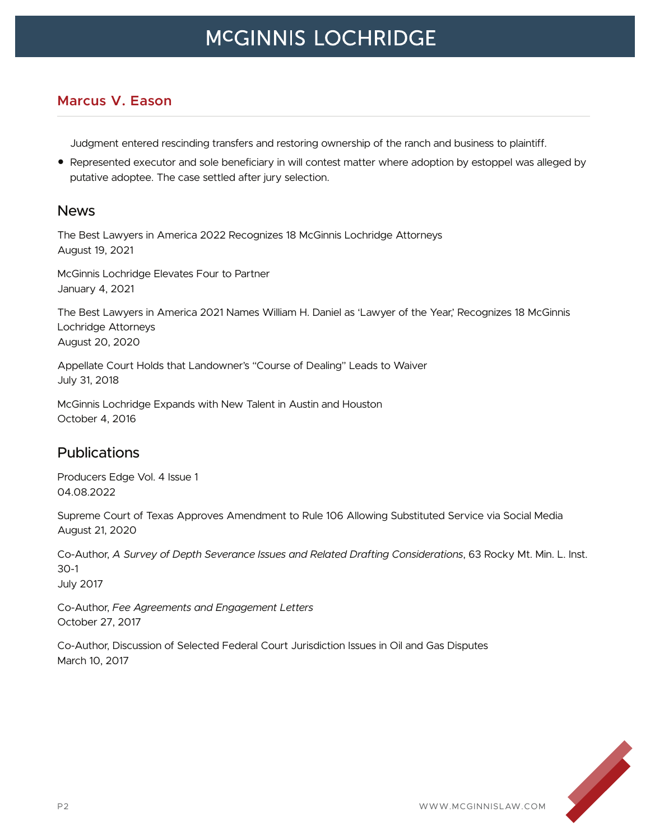## **MCGINNIS LOCHRIDGE**

### **Marcus V. Eason**

Judgment entered rescinding transfers and restoring ownership of the ranch and business to plaintiff.

● Represented executor and sole beneficiary in will contest matter where adoption by estoppel was alleged by putative adoptee. The case settled after jury selection.

### News

The Best Lawyers in America 2022 Recognizes 18 McGinnis Lochridge Attorneys August 19, 2021

McGinnis Lochridge Elevates Four to Partner January 4, 2021

The Best Lawyers in America 2021 Names William H. Daniel as 'Lawyer of the Year,' Recognizes 18 McGinnis Lochridge Attorneys August 20, 2020

Appellate Court Holds that Landowner's "Course of Dealing" Leads to Waiver July 31, 2018

McGinnis Lochridge Expands with New Talent in Austin and Houston October 4, 2016

## Publications

Producers Edge Vol. 4 Issue 1 04.08.2022

Supreme Court of Texas Approves Amendment to Rule 106 Allowing Substituted Service via Social Media August 21, 2020

Co-Author, *A Survey of Depth Severance Issues and Related Drafting Considerations*, 63 Rocky Mt. Min. L. Inst. 30-1

July 2017

Co-Author, *Fee Agreements and Engagement Letters* October 27, 2017

Co-Author, Discussion of Selected Federal Court Jurisdiction Issues in Oil and Gas Disputes March 10, 2017